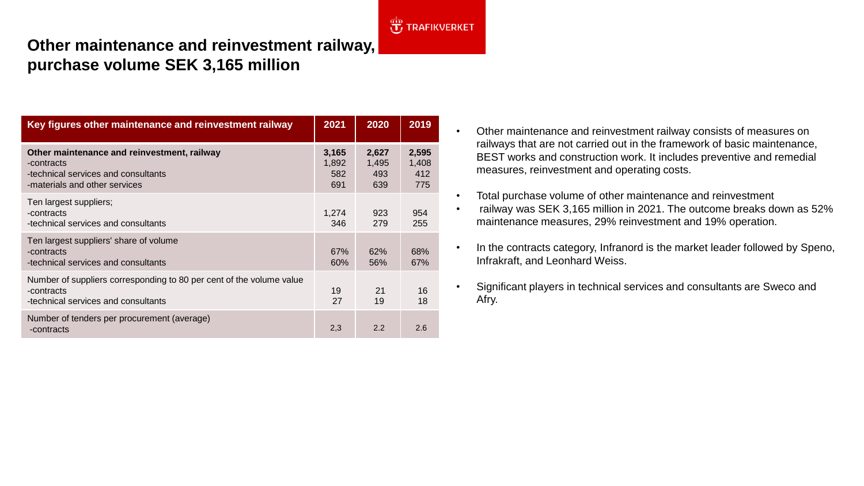# **J**TRAFIKVERKET

## **Other maintenance and reinvestment railway, purchase volume SEK 3,165 million**

| Key figures other maintenance and reinvestment railway                                                                            | 2021                         | 2020                         | 2019                         |
|-----------------------------------------------------------------------------------------------------------------------------------|------------------------------|------------------------------|------------------------------|
| Other maintenance and reinvestment, railway<br>-contracts<br>-technical services and consultants<br>-materials and other services | 3,165<br>1,892<br>582<br>691 | 2,627<br>1,495<br>493<br>639 | 2,595<br>1,408<br>412<br>775 |
| Ten largest suppliers;<br>-contracts<br>-technical services and consultants                                                       | 1.274<br>346                 | 923<br>279                   | 954<br>255                   |
| Ten largest suppliers' share of volume<br>-contracts<br>-technical services and consultants                                       | 67%<br>60%                   | 62%<br>56%                   | 68%<br>67%                   |
| Number of suppliers corresponding to 80 per cent of the volume value<br>-contracts<br>-technical services and consultants         | 19<br>27                     | 21<br>19                     | 16<br>18                     |
| Number of tenders per procurement (average)<br>-contracts                                                                         | 2,3                          | 2.2                          | 2.6                          |

- Other maintenance and reinvestment railway consists of measures on railways that are not carried out in the framework of basic maintenance, BEST works and construction work. It includes preventive and remedial measures, reinvestment and operating costs.
- Total purchase volume of other maintenance and reinvestment
- railway was SEK 3,165 million in 2021. The outcome breaks down as 52% maintenance measures, 29% reinvestment and 19% operation.
- In the contracts category, Infranord is the market leader followed by Speno, Infrakraft, and Leonhard Weiss.
- Significant players in technical services and consultants are Sweco and Afry.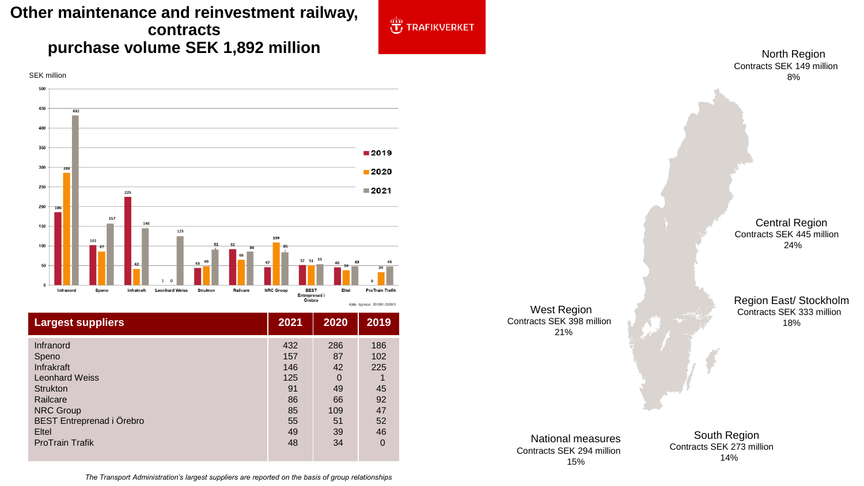### **Other maintenance and reinvestment railway, contracts purchase volume SEK 1,892 million**



| <b>Largest suppliers</b>  | 2021 | 2020     | 2019     |
|---------------------------|------|----------|----------|
| Infranord                 | 432  | 286      | 186      |
| Speno                     | 157  | 87       | 102      |
| Infrakraft                | 146  | 42       | 225      |
| <b>Leonhard Weiss</b>     | 125  | $\Omega$ |          |
| <b>Strukton</b>           | 91   | 49       | 45       |
| Railcare                  | 86   | 66       | 92       |
| <b>NRC Group</b>          | 85   | 109      | 47       |
| BEST Entreprenad i Örebro | 55   | 51       | 52       |
| Eltel                     | 49   | 39       | 46       |
| <b>ProTrain Trafik</b>    | 48   | 34       | $\Omega$ |

West Region Contracts SEK 398 million 21%

 $\bigoplus^{\text{obs}}$  TRAFIKVERKET

North Region Contracts SEK 149 million 8%

Central Region Contracts SEK 445 million 24%

Region East/ Stockholm Contracts SEK 333 million 18%

#### National measures Contracts SEK 294 million 15%

South Region Contracts SEK 273 million 14%

*The Transport Administration's largest suppliers are reported on the basis of group relationships*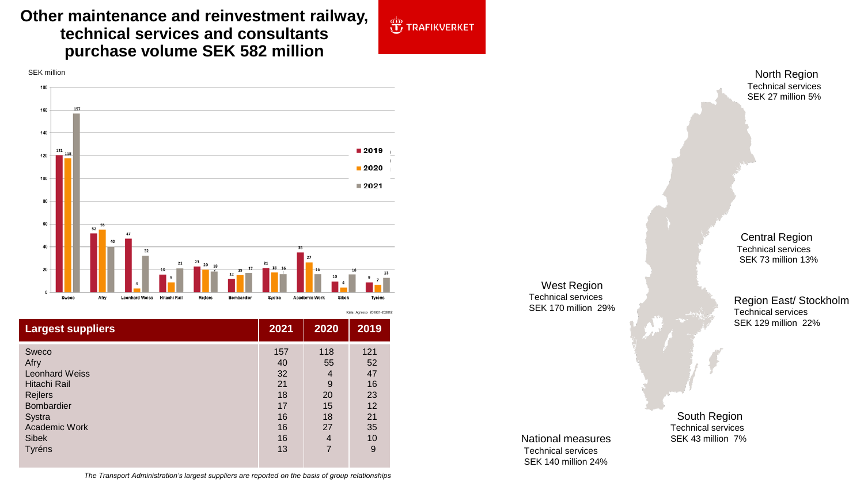### **Other maintenance and reinvestment railway, technical services and consultants purchase volume SEK 582 million**



| <b>Largest suppliers</b>                                                                                                                    | 2021                                                      | 2020                                                               | 2019                                                     |
|---------------------------------------------------------------------------------------------------------------------------------------------|-----------------------------------------------------------|--------------------------------------------------------------------|----------------------------------------------------------|
| Sweco<br>Afry<br><b>Leonhard Weiss</b><br>Hitachi Rail<br>Rejlers<br><b>Bombardier</b><br>Systra<br>Academic Work<br><b>Sibek</b><br>Tyréns | 157<br>40<br>32<br>21<br>18<br>17<br>16<br>16<br>16<br>13 | 118<br>55<br>4<br>9<br>20<br>15<br>18<br>27<br>$\overline{4}$<br>7 | 121<br>52<br>47<br>16<br>23<br>12<br>21<br>35<br>10<br>9 |
|                                                                                                                                             |                                                           |                                                                    |                                                          |

*The Transport Administration's largest suppliers are reported on the basis of group relationships*

**OF TRAFIKVERKET** 

West Region Technical services SEK 170 million 29%

North Region Technical services SEK 27 million 5%

Central Region Technical services SEK 73 million 13%

Region East/ Stockholm Technical services SEK 129 million 22%

National measures Technical services SEK 140 million 24%

South Region Technical services SEK 43 million 7%